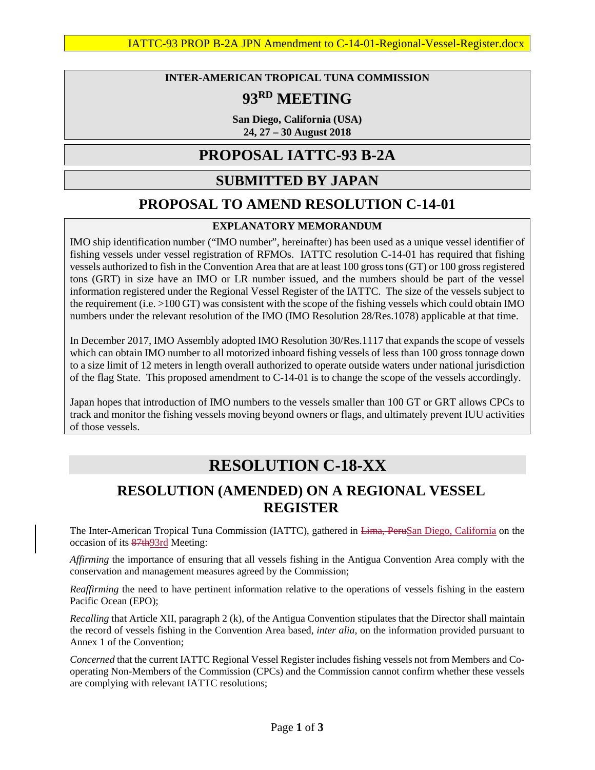#### **INTER-AMERICAN TROPICAL TUNA COMMISSION**

## **93RD MEETING**

**San Diego, California (USA) 24, 27 – 30 August 2018**

### **PROPOSAL IATTC-93 B-2A**

#### **SUBMITTED BY JAPAN**

### **PROPOSAL TO AMEND RESOLUTION C-14-01**

#### **EXPLANATORY MEMORANDUM**

IMO ship identification number ("IMO number", hereinafter) has been used as a unique vessel identifier of fishing vessels under vessel registration of RFMOs. IATTC resolution C-14-01 has required that fishing vessels authorized to fish in the Convention Area that are at least 100 gross tons (GT) or 100 gross registered tons (GRT) in size have an IMO or LR number issued, and the numbers should be part of the vessel information registered under the Regional Vessel Register of the IATTC. The size of the vessels subject to the requirement (i.e. >100 GT) was consistent with the scope of the fishing vessels which could obtain IMO numbers under the relevant resolution of the IMO (IMO Resolution 28/Res.1078) applicable at that time.

In December 2017, IMO Assembly adopted IMO Resolution 30/Res.1117 that expands the scope of vessels which can obtain IMO number to all motorized inboard fishing vessels of less than 100 gross tonnage down to a size limit of 12 meters in length overall authorized to operate outside waters under national jurisdiction of the flag State. This proposed amendment to C-14-01 is to change the scope of the vessels accordingly.

Japan hopes that introduction of IMO numbers to the vessels smaller than 100 GT or GRT allows CPCs to track and monitor the fishing vessels moving beyond owners or flags, and ultimately prevent IUU activities of those vessels.

# **RESOLUTION C-18-XX**

### **RESOLUTION (AMENDED) ON A REGIONAL VESSEL REGISTER**

The Inter-American Tropical Tuna Commission (IATTC), gathered in Lima, PeruSan Diego, California on the occasion of its 87th93rd Meeting:

*Affirming* the importance of ensuring that all vessels fishing in the Antigua Convention Area comply with the conservation and management measures agreed by the Commission;

*Reaffirming* the need to have pertinent information relative to the operations of vessels fishing in the eastern Pacific Ocean (EPO);

*Recalling* that Article XII, paragraph 2 (k), of the Antigua Convention stipulates that the Director shall maintain the record of vessels fishing in the Convention Area based, *inter alia,* on the information provided pursuant to Annex 1 of the Convention;

*Concerned* that the current IATTC Regional Vessel Register includes fishing vessels not from Members and Cooperating Non-Members of the Commission (CPCs) and the Commission cannot confirm whether these vessels are complying with relevant IATTC resolutions;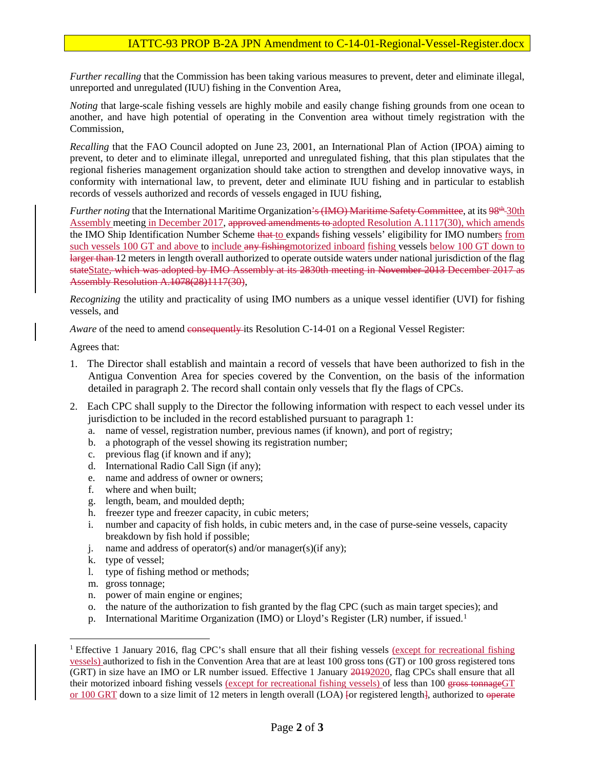*Further recalling* that the Commission has been taking various measures to prevent, deter and eliminate illegal, unreported and unregulated (IUU) fishing in the Convention Area,

*Noting* that large-scale fishing vessels are highly mobile and easily change fishing grounds from one ocean to another, and have high potential of operating in the Convention area without timely registration with the Commission,

*Recalling* that the FAO Council adopted on June 23, 2001, an International Plan of Action (IPOA) aiming to prevent, to deter and to eliminate illegal, unreported and unregulated fishing, that this plan stipulates that the regional fisheries management organization should take action to strengthen and develop innovative ways, in conformity with international law, to prevent, deter and eliminate IUU fishing and in particular to establish records of vessels authorized and records of vessels engaged in IUU fishing,

*Further noting* that the International Maritime Organization's (IMO) Maritime Safety Committee, at its 98<sup>th</sup> 30th Assembly meeting in December 2017, approved amendments to adopted Resolution A.1117(30), which amends the IMO Ship Identification Number Scheme that to expands fishing vessels' eligibility for IMO numbers from such vessels 100 GT and above to include any fishingmotorized inboard fishing vessels below 100 GT down to larger than 12 meters in length overall authorized to operate outside waters under national jurisdiction of the flag stateState, which was adopted by IMO Assembly at its 2830th meeting in November 2013 December 2017 as Assembly Resolution A.1078(28)1117(30),

*Recognizing* the utility and practicality of using IMO numbers as a unique vessel identifier (UVI) for fishing vessels, and

*Aware* of the need to amend consequently its Resolution C-14-01 on a Regional Vessel Register:

Agrees that:

- 1. The Director shall establish and maintain a record of vessels that have been authorized to fish in the Antigua Convention Area for species covered by the Convention, on the basis of the information detailed in paragraph 2. The record shall contain only vessels that fly the flags of CPCs.
- 2. Each CPC shall supply to the Director the following information with respect to each vessel under its jurisdiction to be included in the record established pursuant to paragraph 1:
	- a. name of vessel, registration number, previous names (if known), and port of registry;
	- b. a photograph of the vessel showing its registration number;
	- c. previous flag (if known and if any);
	- d. International Radio Call Sign (if any);
	- e. name and address of owner or owners;
	- f. where and when built;
	- g. length, beam, and moulded depth;
	- h. freezer type and freezer capacity, in cubic meters;
	- i. number and capacity of fish holds, in cubic meters and, in the case of purse-seine vessels, capacity breakdown by fish hold if possible;
	- j. name and address of operator(s) and/or manager(s)(if any);
	- k. type of vessel;
	- l. type of fishing method or methods;
	- m. gross tonnage;
	- n. power of main engine or engines;
	- o. the nature of the authorization to fish granted by the flag CPC (such as main target species); and
	- p. International Maritime Organization (IMO) or Lloyd's Register (LR) number, if issue[d.1](#page-1-0)

<span id="page-1-1"></span><span id="page-1-0"></span><sup>&</sup>lt;sup>1</sup> Effective 1 January 2016, flag CPC's shall ensure that all their fishing vessels (except for recreational fishing vessels) authorized to fish in the Convention Area that are at least 100 gross tons (GT) or 100 gross registered tons (GRT) in size have an IMO or LR number issued. Effective 1 January 20192020, flag CPCs shall ensure that all their motorized inboard fishing vessels (except for recreational fishing vessels) of less than 100 gross tonnageGT or 100 GRT down to a size limit of 12 meters in length overall (LOA) for registered length}, authorized to operate